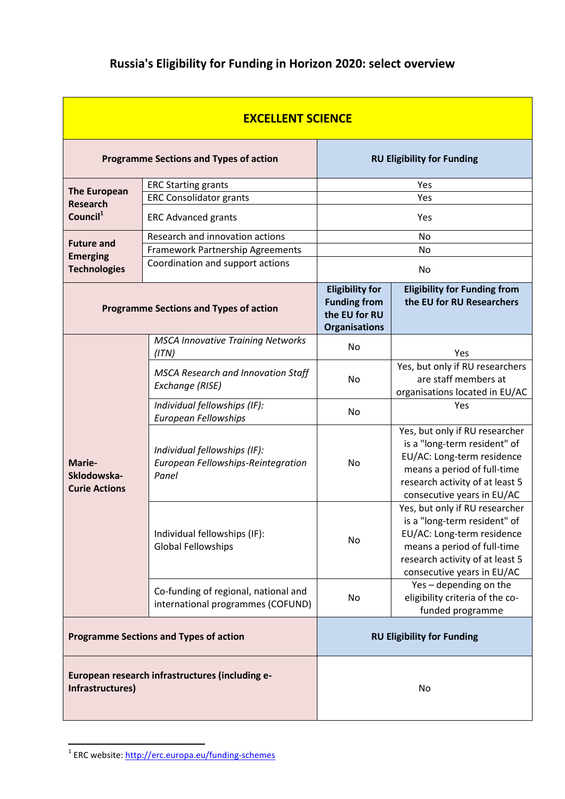## **Russia's Eligibility for Funding in Horizon 2020: select overview**

| <b>EXCELLENT SCIENCE</b>                                            |                                                                             |                                                                                        |                                                                                                                                                                                              |  |
|---------------------------------------------------------------------|-----------------------------------------------------------------------------|----------------------------------------------------------------------------------------|----------------------------------------------------------------------------------------------------------------------------------------------------------------------------------------------|--|
| <b>Programme Sections and Types of action</b>                       |                                                                             | <b>RU Eligibility for Funding</b>                                                      |                                                                                                                                                                                              |  |
| <b>The European</b><br><b>Research</b><br>Council <sup>1</sup>      | <b>ERC Starting grants</b>                                                  | Yes                                                                                    |                                                                                                                                                                                              |  |
|                                                                     | <b>ERC Consolidator grants</b>                                              | Yes                                                                                    |                                                                                                                                                                                              |  |
|                                                                     | <b>ERC Advanced grants</b>                                                  | Yes                                                                                    |                                                                                                                                                                                              |  |
| <b>Future and</b><br><b>Emerging</b><br><b>Technologies</b>         | Research and innovation actions                                             | No                                                                                     |                                                                                                                                                                                              |  |
|                                                                     | Framework Partnership Agreements                                            | No                                                                                     |                                                                                                                                                                                              |  |
|                                                                     | Coordination and support actions                                            | No                                                                                     |                                                                                                                                                                                              |  |
| <b>Programme Sections and Types of action</b>                       |                                                                             | <b>Eligibility for</b><br><b>Funding from</b><br>the EU for RU<br><b>Organisations</b> | <b>Eligibility for Funding from</b><br>the EU for RU Researchers                                                                                                                             |  |
| Marie-<br>Sklodowska-<br><b>Curie Actions</b>                       | <b>MSCA Innovative Training Networks</b><br>(ITN)                           | No                                                                                     | Yes                                                                                                                                                                                          |  |
|                                                                     | <b>MSCA Research and Innovation Staff</b><br>Exchange (RISE)                | No                                                                                     | Yes, but only if RU researchers<br>are staff members at<br>organisations located in EU/AC                                                                                                    |  |
|                                                                     | Individual fellowships (IF):<br><b>European Fellowships</b>                 | <b>No</b>                                                                              | Yes                                                                                                                                                                                          |  |
|                                                                     | Individual fellowships (IF):<br>European Fellowships-Reintegration<br>Panel | No                                                                                     | Yes, but only if RU researcher<br>is a "long-term resident" of<br>EU/AC: Long-term residence<br>means a period of full-time<br>research activity of at least 5<br>consecutive years in EU/AC |  |
|                                                                     | Individual fellowships (IF):<br>Global Fellowships                          | No                                                                                     | Yes, but only if RU researcher<br>is a "long-term resident" of<br>EU/AC: Long-term residence<br>means a period of full-time<br>research activity of at least 5<br>consecutive years in EU/AC |  |
|                                                                     | Co-funding of regional, national and<br>international programmes (COFUND)   | No                                                                                     | Yes - depending on the<br>eligibility criteria of the co-<br>funded programme                                                                                                                |  |
| <b>Programme Sections and Types of action</b>                       |                                                                             | <b>RU Eligibility for Funding</b>                                                      |                                                                                                                                                                                              |  |
| European research infrastructures (including e-<br>Infrastructures) |                                                                             | No                                                                                     |                                                                                                                                                                                              |  |

 1 ERC website:<http://erc.europa.eu/funding-schemes>